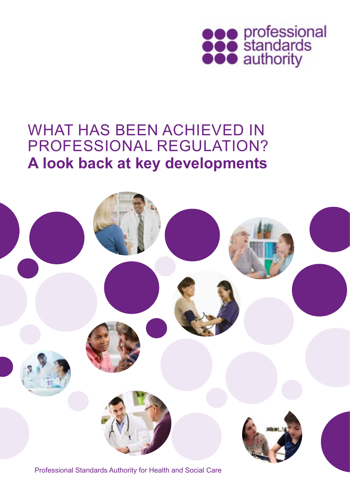

## **A look back at key developments** WHAT HAS BEEN ACHIEVED IN PROFESSIONAL REGULATION?



Professional Standards Authority for Health and Social Care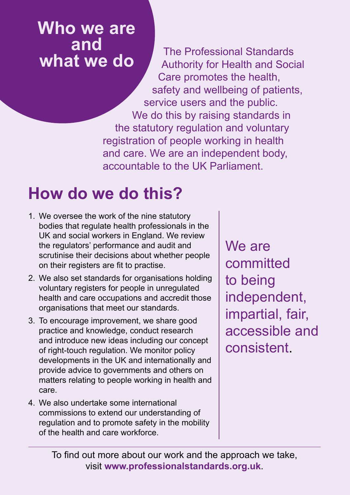**Who we are and** 

**what we do** The Professional Standards Authority for Health and Social Care promotes the health, safety and wellbeing of patients, service users and the public. We do this by raising standards in the statutory regulation and voluntary registration of people working in health and care. We are an independent body, accountable to the UK Parliament.

# **How do we do this?**

- 1. We oversee the work of the nine statutory bodies that regulate health professionals in the UK and social workers in England. We review the regulators' performance and audit and scrutinise their decisions about whether people on their registers are fit to practise.
- 2. We also set standards for organisations holding voluntary registers for people in unregulated health and care occupations and accredit those organisations that meet our standards.
- 3. To encourage improvement, we share good practice and knowledge, conduct research and introduce new ideas including our concept of right-touch regulation. We monitor policy developments in the UK and internationally and provide advice to governments and others on matters relating to people working in health and care.
- 4. We also undertake some international commissions to extend our understanding of regulation and to promote safety in the mobility of the health and care workforce.

We are committed to being independent, impartial, fair, accessible and consistent.

To find out more about our work and the approach we take, visit **www.professionalstandards.org.uk**.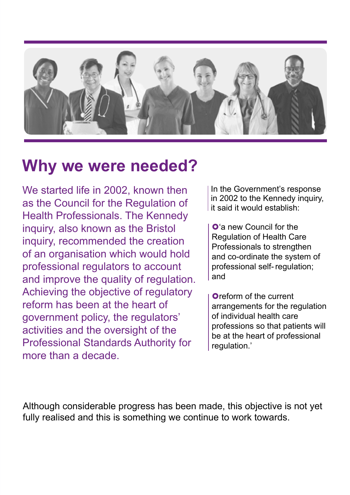

## **Why we were needed?**

We started life in 2002, known then as the Council for the Regulation of Health Professionals. The Kennedy inquiry, also known as the Bristol inquiry, recommended the creation of an organisation which would hold professional regulators to account and improve the quality of regulation. Achieving the objective of regulatory reform has been at the heart of government policy, the regulators' activities and the oversight of the Professional Standards Authority for more than a decade.

In the Government's response in 2002 to the Kennedy inquiry, it said it would establish:

**O**'a new Council for the Regulation of Health Care Professionals to strengthen and co-ordinate the system of professional self-regulation; and

**Oreform of the current** arrangements for the regulation of individual health care professions so that patients will be at the heart of professional regulation.'

Although considerable progress has been made, this objective is not yet fully realised and this is something we continue to work towards.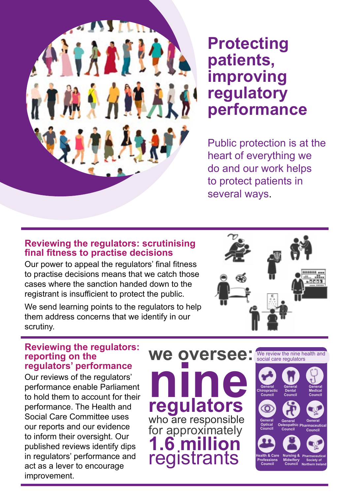

## **Protecting patients, improving regulatory performance**

Public protection is at the heart of everything we do and our work helps to protect patients in several ways.

#### **Reviewing the regulators: scrutinising final fitness to practise decisions**

Our power to appeal the regulators' final fitness to practise decisions means that we catch those cases where the sanction handed down to the registrant is insufficient to protect the public.

We send learning points to the regulators to help them address concerns that we identify in our scrutiny.





Our reviews of the regulators' performance enable Parliament to hold them to account for their performance. The Health and Social Care Committee uses our reports and our evidence to inform their oversight. Our published reviews identify dips in regulators' performance and act as a lever to encourage improvement.

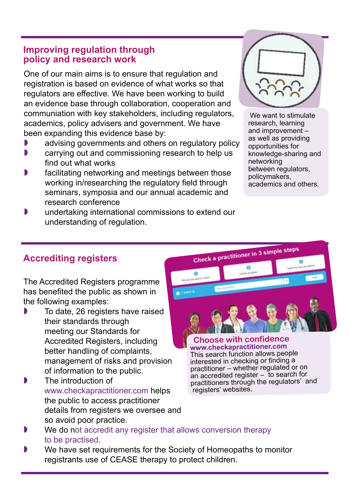#### **Improving regulation through policy and research work**

One of our main aims is to ensure that regulation and registration is based on evidence of what works so that regulators are effective. We have been working to build an evidence base through collaboration, cooperation and communiation with key stakeholders, including regulators, academics, policy advisers and government. We have been expanding this evidence base by:

- **D** advising governments and others on regulatory policy
- carrying out and commissioning research to help us find out what works
- facilitating networking and meetings between those working in/researching the regulatory field through seminars, symposia and our annual academic and research conference
- undertaking international commissions to extend our understanding of regulation.



We want to stimulate research, learning and improvement – as well as providing opportunities for knowledge-sharing and networking between regulators, policymakers, academics and others.

### **Accrediting registers**

The Accredited Registers programme has benefited the public as shown in the following examples:

- To date, 26 registers have raised their standards through meeting our Standards for Accredited Registers, including better handling of complaints, management of risks and provision of information to the public.
- **The introduction of** www.checkapractitioner.com helps the public to access practitioner details from registers we oversee and so avoid poor practice.



**www.checkapractitioner.com** This search function allows people interested in checking or finding a practitioner – whether regulated or on an accredited register – to search for practitioners through the regulators' and registers' websites.

- We do not accredit any register that allows conversion therapy [to be practised.](https://www.professionalstandards.org.uk/news-and-blog/latest-news/detail/2015/01/16/professional-standards-authority-supports-action-by-accredited-registers-on-conversion-therapy)
- We have set requirements for the Society of Homeopaths to monitor registrants use of CEASE therapy to protect children.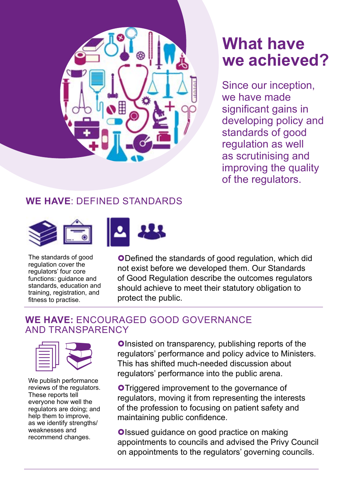

# **What have we achieved?**

Since our inception, we have made significant gains in developing policy and standards of good regulation as well as scrutinising and improving the quality of the regulators.

## **WE HAVE**: DEFINED STANDARDS



The standards of good regulation cover the regulators' four core functions: guidance and standards, education and training, registration, and fitness to practise.

**ODefined the standards of good regulation, which did** not exist before we developed them. Our Standards of Good Regulation describe the outcomes regulators should achieve to meet their statutory obligation to protect the public.

#### **WE HAVE:** ENCOURAGED GOOD GOVERNANCE AND TRANSPARENCY



We publish performance reviews of the regulators. These reports tell everyone how well the regulators are doing; and help them to improve, as we identify strengths/ weaknesses and recommend changes.

Olnsisted on transparency, publishing reports of the regulators' performance and policy advice to Minister<br>This has shifted much-needed discussion about regulators' performance and policy advice to Ministers. This has shifted much-needed discussion about regulators' performance into the public arena.

> **O**Triggered improvement to the governance of regulators, moving it from representing the interests of the profession to focusing on patient safety and maintaining public confidence.

**Olssued guidance on good practice on making** appointments to councils and advised the Privy Council on appointments to the regulators' governing councils.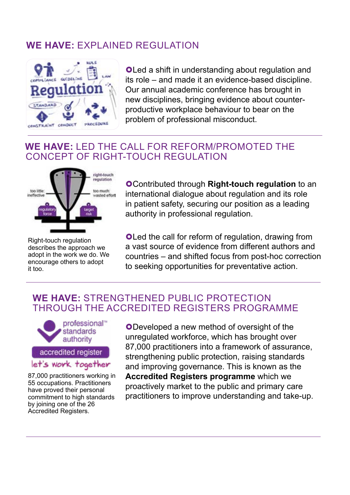## **WE HAVE:** EXPLAINED REGULATION



**OLed a shift in understanding about regulation and** its role – and made it an evidence-based discipline. Our annual academic conference has brought in new disciplines, bringing evidence about counterproductive workplace behaviour to bear on the problem of professional misconduct.

### **WE HAVE:** LED THE CALL FOR REFORM/PROMOTED THE CONCEPT OF RIGHT-TOUCH REGULATION



Right-touch regulation describes the approach we adopt in the work we do. We encourage others to adopt it too.

Contributed through **Right-touch regulation** to an international dialogue about regulation and its role in patient safety, securing our position as a leading authority in professional regulation.

**OLed the call for reform of regulation, drawing from** a vast source of evidence from different authors and countries – and shifted focus from post-hoc correction to seeking opportunities for preventative action.

#### **WE HAVE:** STRENGTHENED PUBLIC PROTECTION THROUGH THE ACCREDITED REGISTERS PROGRAMME



let's work together

87,000 practitioners working in 55 occupations. Practitioners have proved their personal commitment to high standards by joining one of the 26 Accredited Registers.

Developed a new method of oversight of the unregulated workforce, which has brought over 87,000 practitioners into a framework of assurance, strengthening public protection, raising standards and improving governance. This is known as the **Accredited Registers programme** which we proactively market to the public and primary care practitioners to improve understanding and take-up.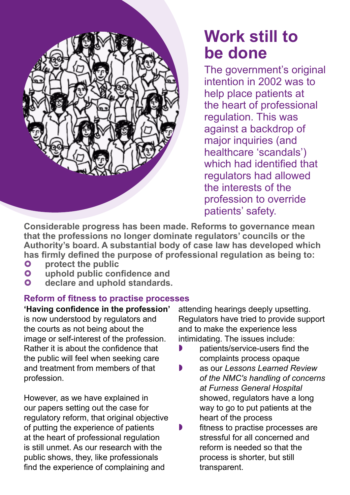

# **Work still to be done**

The government's original intention in 2002 was to help place patients at the heart of professional regulation. This was against a backdrop of major inquiries (and healthcare 'scandals') which had identified that regulators had allowed the interests of the profession to override patients' safety.

**Considerable progress has been made. Reforms to governance mean that the professions no longer dominate regulators' councils or the Authority's board. A substantial body of case law has developed which has firmly defined the purpose of professional regulation as being to:** 

- **protect the public<br>
<b>p** uphold public con
- **uphold public confidence and**
- **declare and uphold standards.**

### **Reform of fitness to practise processes**

**'Having confidence in the profession'**  is now understood by regulators and the courts as not being about the image or self-interest of the profession. Rather it is about the confidence that the public will feel when seeking care and treatment from members of that profession.

However, as we have explained in our papers setting out the case for regulatory reform, that original objective of putting the experience of patients at the heart of professional regulation is still unmet. As our research with the public shows, they, like professionals find the experience of complaining and

attending hearings deeply upsetting. Regulators have tried to provide support and to make the experience less intimidating. The issues include:

- patients/service-users find the complaints process opaque
- as our *Lessons Learned Review of the NMC's handling of concerns at Furness General Hospital*  showed, regulators have a long way to go to put patients at the heart of the process
- $\bullet$  fitness to practise processes are stressful for all concerned and reform is needed so that the process is shorter, but still transparent.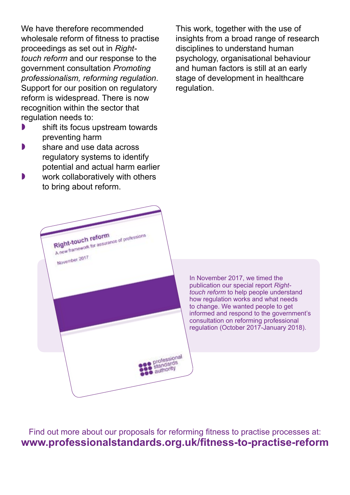We have therefore recommended wholesale reform of fitness to practise proceedings as set out in *Righttouch reform* and our response to the government consultation *Promoting professionalism, reforming regulation*. Support for our position on regulatory reform is widespread. There is now recognition within the sector that regulation needs to:

- shift its focus upstream towards preventing harm
- share and use data across regulatory systems to identify potential and actual harm earlier
- work collaboratively with others to bring about reform.

Right-touch reform

November 2017

Right-touch reform

This work, together with the use of insights from a broad range of research disciplines to understand human psychology, organisational behaviour and human factors is still at an early stage of development in healthcare regulation.

In November 2017, we timed the publication our special report *Righttouch reform* to help people understand how regulation works and what needs to change. We wanted people to get informed and respond to the government's consultation on reforming professional regulation (October 2017-January 2018).

Find out more about our proposals for reforming fitness to practise processes at: **www.professionalstandards.org.uk/fitness-to-practise-reform**

professional profession<br>standards authority